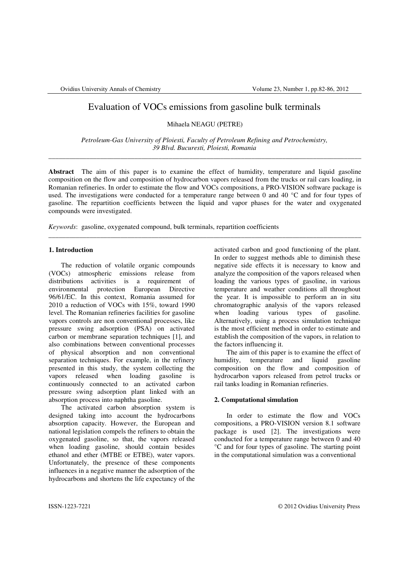# Evaluation of VOCs emissions from gasoline bulk terminals

Mihaela NEAGU (PETRE)

*Petroleum-Gas University of Ploiesti, Faculty of Petroleum Refining and Petrochemistry, 39 Blvd. Bucuresti, Ploiesti, Romania* \_\_\_\_\_\_\_\_\_\_\_\_\_\_\_\_\_\_\_\_\_\_\_\_\_\_\_\_\_\_\_\_\_\_\_\_\_\_\_\_\_\_\_\_\_\_\_\_\_\_\_\_\_\_\_\_\_\_\_\_\_\_\_\_\_\_\_\_\_\_\_\_\_\_\_\_\_\_\_\_\_\_\_\_\_\_\_\_\_\_\_

**Abstract** The aim of this paper is to examine the effect of humidity, temperature and liquid gasoline composition on the flow and composition of hydrocarbon vapors released from the trucks or rail cars loading, in Romanian refineries. In order to estimate the flow and VOCs compositions, a PRO-VISION software package is used. The investigations were conducted for a temperature range between 0 and 40 °C and for four types of gasoline. The repartition coefficients between the liquid and vapor phases for the water and oxygenated compounds were investigated.

\_\_\_\_\_\_\_\_\_\_\_\_\_\_\_\_\_\_\_\_\_\_\_\_\_\_\_\_\_\_\_\_\_\_\_\_\_\_\_\_\_\_\_\_\_\_\_\_\_\_\_\_\_\_\_\_\_\_\_\_\_\_\_\_\_\_\_\_\_\_\_\_\_\_\_\_\_\_\_\_\_\_\_\_\_\_\_\_\_\_\_

*Keywords*: gasoline, oxygenated compound, bulk terminals, repartition coefficients

#### **1. Introduction**

The reduction of volatile organic compounds (VOCs) atmospheric emissions release from distributions activities is a requirement of environmental protection European Directive 96/61/EC. In this context, Romania assumed for 2010 a reduction of VOCs with 15%, toward 1990 level. The Romanian refineries facilities for gasoline vapors controls are non conventional processes, like pressure swing adsorption (PSA) on activated carbon or membrane separation techniques [1], and also combinations between conventional processes of physical absorption and non conventional separation techniques. For example, in the refinery presented in this study, the system collecting the vapors released when loading gasoline is continuously connected to an activated carbon pressure swing adsorption plant linked with an absorption process into naphtha gasoline.

The activated carbon absorption system is designed taking into account the hydrocarbons absorption capacity. However, the European and national legislation compels the refiners to obtain the oxygenated gasoline, so that, the vapors released when loading gasoline, should contain besides ethanol and ether (MTBE or ETBE), water vapors. Unfortunately, the presence of these components influences in a negative manner the adsorption of the hydrocarbons and shortens the life expectancy of the activated carbon and good functioning of the plant. In order to suggest methods able to diminish these negative side effects it is necessary to know and analyze the composition of the vapors released when loading the various types of gasoline, in various temperature and weather conditions all throughout the year. It is impossible to perform an in situ chromatographic analysis of the vapors released types of gasoline. Alternatively, using a process simulation technique is the most efficient method in order to estimate and establish the composition of the vapors, in relation to the factors influencing it.

The aim of this paper is to examine the effect of humidity, temperature and liquid gasoline composition on the flow and composition of hydrocarbon vapors released from petrol trucks or rail tanks loading in Romanian refineries.

## **2. Computational simulation**

In order to estimate the flow and VOCs compositions, a PRO-VISION version 8.1 software package is used [2]. The investigations were conducted for a temperature range between 0 and 40 °C and for four types of gasoline. The starting point in the computational simulation was a conventional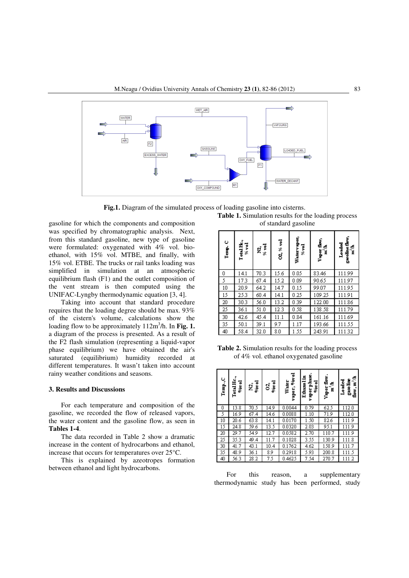

**Fig.1.** Diagram of the simulated process of loading gasoline into cisterns.

gasoline for which the components and composition was specified by chromatographic analysis. Next, from this standard gasoline, new type of gasoline were formulated: oxygenated with 4% vol. bioethanol, with 15% vol. MTBE, and finally, with 15% vol. ETBE. The trucks or rail tanks loading was simplified in simulation at an atmospheric equilibrium flash (F1) and the outlet composition of the vent stream is then computed using the UNIFAC-Lyngby thermodynamic equation [3, 4].

Taking into account that standard procedure requires that the loading degree should be max. 93% of the cistern's volume, calculations show the loading flow to be approximately 112m<sup>3</sup>/h. In Fig. 1. a diagram of the process is presented. As a result of the F2 flash simulation (representing a liquid-vapor phase equilibrium) we have obtained the air's saturated (equilibrium) humidity recorded at different temperatures. It wasn't taken into account rainy weather conditions and seasons.

## **3. Results and Discussions**

For each temperature and composition of the gasoline, we recorded the flow of released vapors, the water content and the gasoline flow, as seen in **Tables 1-4**.

The data recorded in Table 2 show a dramatic increase in the content of hydrocarbons and ethanol, increase that occurs for temperatures over 25°C.

This is explained by azeotropes formation between ethanol and light hydrocarbons.

**Table 1.** Simulation results for the loading process of standard gasoline

| O<br>Temp. | Total Hr.,<br>104.96 | $R_{\rm sol}$ | Ē<br>ś<br>g | Watervapor,<br>$%$ vol | Vapor flow,<br>្តិ៍ | gasoline flow<br>Loaded<br>្នឹ |
|------------|----------------------|---------------|-------------|------------------------|---------------------|--------------------------------|
| 0          | 14.1                 | 70.3          | 15.6        | 0.05                   | 83.46               | 111.99                         |
| 5          | 17.3                 | 67.4          | 15.2        | 0.09                   | 90.65               | 111.97                         |
| 10         | 20.9                 | 64.2          | 14.7        | 0.15                   | 99.07               | 111.95                         |
| 15         | 25.3                 | 60.4          | 14.1        | 0.25                   | 109.25              | 111.91                         |
| 20         | 30.3                 | 56.0          | 13.2        | 0.39                   | 122.00              | 111.86                         |
| 25         | 36.1                 | 51.0          | 12.3        | 0.58                   | 138.58              | 111.79                         |
| 30         | 42.6                 | 45.4          | 11.1        | 0.84                   | 161.16              | 111.69                         |
| 35         | 50.1                 | 39.1          | 9.7         | 1.17                   | 193.66              | 111.55                         |
| 40         | 58.4                 | 32.0          | 8.0         | 1.55                   | 243.91              | 111.32                         |

**Table 2.** Simulation results for the loading process of 4% vol. ethanol oxygenated gasoline

| Temp.C          | Total Hc.,<br>$9/6$ v $0$ | %wol<br>g, | $9/6$ vol<br>S, | <sup>O</sup> ovol<br>Water<br>vapor, | est d.10 de A<br>Ethanolin<br>$9/6$ v $0$ | Vapor flow<br>€<br>š<br>E | ក្ដី<br>gaso line<br>${\tt L}$ o aded<br>${\bf flow}$ , |
|-----------------|---------------------------|------------|-----------------|--------------------------------------|-------------------------------------------|---------------------------|---------------------------------------------------------|
| 0               | 13.8                      | 70.5       | 14.9            | 0.0044                               | 0.79                                      | 62.5                      | 112.0                                                   |
| 5               | 16.9                      | 67.4       | 14.6            | 0.0088                               | 1.10                                      | 71.9                      | 112.0                                                   |
| 10              | 20.6                      | 63.8       | 14.1            | 0.0170                               | 1.50                                      | 82.6                      | 111.9                                                   |
| $\overline{15}$ | 24.8                      | 59.6       | 13.5            | 0.0320                               | 2.03                                      | 95.1                      | 111.9                                                   |
| 20              | 29.7                      | 54.9       | 12.7            | 0.0582                               | 2.70                                      | 110.7                     | 111.9                                                   |
| 25              | 35.3                      | 49.4       | 11.7            | 0.1028                               | 3.55                                      | 130.9                     | 111.8                                                   |
| 30              | 41.7                      | 43.1       | 10.4            | 0.1762                               | 4.62                                      | 158.9                     | 111.7                                                   |
| 35              | 48.9                      | 36.1       | 8.9             | 0.2918                               | 5.93                                      | 200.8                     | 111.5                                                   |
| 40              | 56.3                      | 28.2       | 7.5             | 0.4625                               | 7.54                                      | 270.7                     | 111.2                                                   |

For this reason, a supplementary thermodynamic study has been performed, study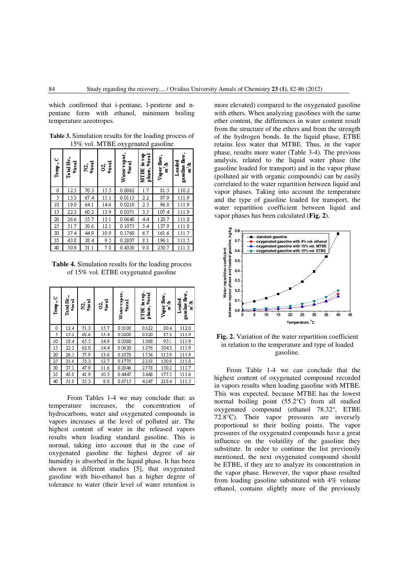which confirmed that i-pentane, l-pentene and npentane form with ethanol, minimum boiling temperature azeotropes.

**Table 3.** Simulation results for the loading process of 15% vol. MTBE oxygenated gasoline

| ပ<br>Temp., | Iotal Hc.,<br><sup>0/0 vol</sup> | $\mathbb{Z}$ , $\mathbb{Z}$ | %vol<br>S, | Water vapor<br>$9/6$ v $0$ | Ovo/<br>in vap<br>MTBE<br>phase, | Vapor flow,<br>Š.<br>E | gasoline flow<br>Loaded<br>ក់វា |
|-------------|----------------------------------|-----------------------------|------------|----------------------------|----------------------------------|------------------------|---------------------------------|
| 0           | 12.5                             | 70.3                        | 15.5       | 0.0062                     | 1.7                              | 81.5                   | 110.2                           |
| 5           | 15.3                             | 67.4                        | 15.1       | 0.0115                     | 2.2                              | 87.9                   | 111.9                           |
| 10          | 19.0                             | 64.1                        | 14.6       | 0.0210                     | 2.3                              | 96.8                   | 111.9                           |
| 15          | 22.3                             | 60.2                        | 13.9       | 0.0371                     | 3.5                              | 107.4                  | 111.9                           |
| 20          | 26.6                             | 55.7                        | 13.1       | 0.0640                     | 4.4                              | 120.7                  | 111.8                           |
| 25          | 31.7                             | 50.6                        | 12.1       | 0.1075                     | 5.4                              | 137.9                  | 111.8                           |
| 30          | 37.4                             | 44.9                        | 10.9       | 0.1760                     | 6.7                              | 161.6                  | 111.7                           |
| 35          | 43.8                             | 38.4                        | 9.5        | 0.2807                     | 8.1                              | 196.1                  | 111.5                           |
| 40          | 50.9                             | 31.1                        | 7.8        | 0.4330                     | 9.8                              | 250.7                  | 111.3                           |

**Table 4.** Simulation results for the loading process of 15% vol. ETBE oxygenated gasoline

| ပ<br>Temp., | Iotal Hc.,<br>$9/60$ ol | $\mathbb{Z}$ is an | $9/60$ ol<br>S, | Water vapor,<br>$9/0$ vol | %vol<br>ETBE in vap<br>plnse, | Vapor flow<br>€<br>ิ้≡ | a<br>B<br>Loaded<br>$\mathbf{n}^2\mathbf{\hat{n}}$<br>gasoline i |
|-------------|-------------------------|--------------------|-----------------|---------------------------|-------------------------------|------------------------|------------------------------------------------------------------|
| 0           | 12.4                    | 71.3               | 15.7            | 0.0108                    | 0.622                         | 80.4                   | 112.0                                                            |
| 5           | 15.2                    | 68.6               | 15.4            | 0.0200                    | 0.820                         | 87.2                   | 111.9                                                            |
| 10          | 18.4                    | 65.5               | 14.9            | 0.0360                    | 1.068                         | 95.1                   | 111.9                                                            |
| 15          | 22.2                    | 62.0               | 14.4            | 0.0630                    | 1.376                         | 104.3                  | 111.9                                                            |
| 20          | 26.5                    | 57.9               | 13.6            | 0.1070                    | 1.756                         | 115.9                  | 111.9                                                            |
| 25          | 31.6                    | 53.3               | 12.7            | 0.1770                    | 2.218                         | 130.6                  | 111.8                                                            |
| 30          | 37.3                    | 47.9               | 11.6            | 0.2846                    | 2.778                         | 150.2                  | 111.7                                                            |
| 35          | 43.8                    | 41.9               | 10.3            | 0.4447                    | 3.448                         | 177.5                  | 111.6                                                            |
| 40          | 51.0                    | 35.3               | 8.8             | 0.6715                    | 4.247                         | 218.4                  | 111.5                                                            |

From Tables 1-4 we may conclude that: as temperature increases, the concentration of hydrocarbons, water and oxygenated compounds in vapors increases at the level of polluted air. The highest content of water in the released vapors results when loading standard gasoline. This is normal, taking into account that in the case of oxygenated gasoline the highest degree of air humidity is absorbed in the liquid phase. It has been shown in different studies [5], that oxygenated gasoline with bio-ethanol has a higher degree of tolerance to water (their level of water retention is

more elevated) compared to the oxygenated gasoline with ethers. When analyzing gasolines with the same ether content, the differences in water content result from the structure of the ethers and from the strength of the hydrogen bonds. In the liquid phase, ETBE retains less water that MTBE. Thus, in the vapor phase, results more water (Table 3-4). The previous analysis, related to the liquid water phase (the gasoline loaded for transport) and in the vapor phase (polluted air with organic compounds) can be easily correlated to the water repartition between liquid and vapor phases. Taking into account the temperature and the type of gasoline loaded for transport, the water repartition coefficient between liquid and vapor phases has been calculated (**Fig. 2**).





From Table 1-4 we can conclude that the highest content of oxygenated compound recorded in vapors results when loading gasoline with MTBE. This was expected, because MTBE has the lowest normal boiling point (55.2°C) from all studied oxygenated compound (ethanol 78.32°, ETBE 72.8°C). Their vapor pressures are inversely proportional to their boiling points. The vapor pressures of the oxygenated compounds have a great influence on the volatility of the gasoline they substitute. In order to continue the list previously mentioned, the next oxygenated compound should be ETBE, if they are to analyze its concentration in the vapor phase. However, the vapor phase resulted from loading gasoline substituted with 4% volume ethanol, contains slightly more of the previously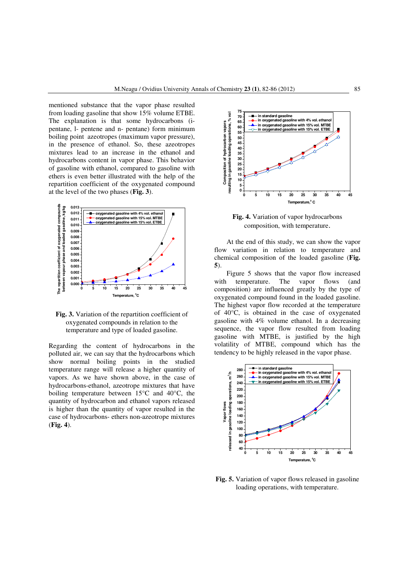mentioned substance that the vapor phase resulted from loading gasoline that show 15% volume ETBE. The explanation is that some hydrocarbons (ipentane, l- pentene and n- pentane) form minimum boiling point azeotropes (maximum vapor pressure), in the presence of ethanol. So, these azeotropes mixtures lead to an increase in the ethanol and hydrocarbons content in vapor phase. This behavior of gasoline with ethanol, compared to gasoline with ethers is even better illustrated with the help of the repartition coefficient of the oxygenated compound at the level of the two phases (**Fig. 3**).



**Fig. 3.** Variation of the repartition coefficient of oxygenated compounds in relation to the temperature and type of loaded gasoline.

Regarding the content of hydrocarbons in the polluted air, we can say that the hydrocarbons which show normal boiling points in the studied temperature range will release a higher quantity of vapors. As we have shown above, in the case of hydrocarbons-ethanol, azeotrope mixtures that have boiling temperature between 15°C and 40°C, the quantity of hydrocarbon and ethanol vapors released is higher than the quantity of vapor resulted in the case of hydrocarbons- ethers non-azeotrope mixtures (**Fig. 4**).



**Fig. 4.** Variation of vapor hydrocarbons composition, with temperature.

At the end of this study, we can show the vapor flow variation in relation to temperature and chemical composition of the loaded gasoline (**Fig. 5**).

Figure 5 shows that the vapor flow increased with temperature. The vapor flows (and composition) are influenced greatly by the type of oxygenated compound found in the loaded gasoline. The highest vapor flow recorded at the temperature of 40°C, is obtained in the case of oxygenated gasoline with 4% volume ethanol. In a decreasing sequence, the vapor flow resulted from loading gasoline with MTBE, is justified by the high volatility of MTBE, compound which has the tendency to be highly released in the vapor phase.



**Fig. 5.** Variation of vapor flows released in gasoline loading operations, with temperature.